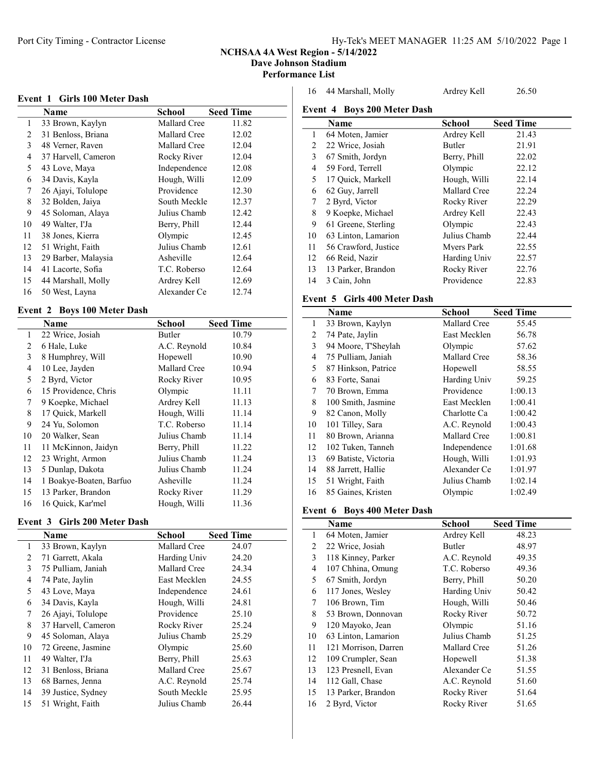#### NCHSAA 4A West Region - 5/14/2022

Dave Johnson Stadium

## Performance List

| Event 1 Girls 100 Meter Dash |  |
|------------------------------|--|
|------------------------------|--|

|    | Name                | School       | <b>Seed Time</b> |
|----|---------------------|--------------|------------------|
| 1  | 33 Brown, Kaylyn    | Mallard Cree | 11.82            |
| 2  | 31 Benloss, Briana  | Mallard Cree | 12.02            |
| 3  | 48 Verner, Raven    | Mallard Cree | 12.04            |
| 4  | 37 Harvell, Cameron | Rocky River  | 12.04            |
| 5  | 43 Love, Maya       | Independence | 12.08            |
| 6  | 34 Davis, Kayla     | Hough, Willi | 12.09            |
| 7  | 26 Ajayi, Tolulope  | Providence   | 12.30            |
| 8  | 32 Bolden, Jaiya    | South Meckle | 12.37            |
| 9  | 45 Soloman, Alaya   | Julius Chamb | 12.42            |
| 10 | 49 Walter, I'Ja     | Berry, Phill | 12.44            |
| 11 | 38 Jones, Kierra    | Olympic      | 12.45            |
| 12 | 51 Wright, Faith    | Julius Chamb | 12.61            |
| 13 | 29 Barber, Malaysia | Asheville    | 12.64            |
| 14 | 41 Lacorte, Sofia   | T.C. Roberso | 12.64            |
| 15 | 44 Marshall, Molly  | Ardrey Kell  | 12.69            |
| 16 | 50 West, Layna      | Alexander Ce | 12.74            |

## Event 2 Boys 100 Meter Dash

|    | Name                    | <b>School</b> | <b>Seed Time</b> |
|----|-------------------------|---------------|------------------|
| 1  | 22 Wrice, Josiah        | Butler        | 10.79            |
| 2  | 6 Hale, Luke            | A.C. Reynold  | 10.84            |
| 3  | 8 Humphrey, Will        | Hopewell      | 10.90            |
| 4  | 10 Lee, Jayden          | Mallard Cree  | 10.94            |
| 5  | 2 Byrd, Victor          | Rocky River   | 10.95            |
| 6  | 15 Providence, Chris    | Olympic       | 11.11            |
| 7  | 9 Koepke, Michael       | Ardrey Kell   | 11.13            |
| 8  | 17 Quick, Markell       | Hough, Willi  | 11.14            |
| 9  | 24 Yu, Solomon          | T.C. Roberso  | 11.14            |
| 10 | 20 Walker, Sean         | Julius Chamb  | 11.14            |
| 11 | 11 McKinnon, Jaidyn     | Berry, Phill  | 11.22            |
| 12 | 23 Wright, Armon        | Julius Chamb  | 11.24            |
| 13 | 5 Dunlap, Dakota        | Julius Chamb  | 11.24            |
| 14 | 1 Boakye-Boaten, Barfuo | Asheville     | 11.24            |
| 15 | 13 Parker, Brandon      | Rocky River   | 11.29            |
| 16 | 16 Quick, Kar'mel       | Hough, Willi  | 11.36            |

## Event 3 Girls 200 Meter Dash

|    | Name                | School       | <b>Seed Time</b> |
|----|---------------------|--------------|------------------|
| 1  | 33 Brown, Kaylyn    | Mallard Cree | 24.07            |
| 2  | 71 Garrett, Akala   | Harding Univ | 24.20            |
| 3  | 75 Pulliam, Janiah  | Mallard Cree | 24.34            |
| 4  | 74 Pate, Jaylin     | East Mecklen | 24.55            |
| 5  | 43 Love, Maya       | Independence | 24.61            |
| 6  | 34 Davis, Kayla     | Hough, Willi | 24.81            |
| 7  | 26 Ajayi, Tolulope  | Providence   | 25.10            |
| 8  | 37 Harvell, Cameron | Rocky River  | 25.24            |
| 9  | 45 Soloman, Alaya   | Julius Chamb | 25.29            |
| 10 | 72 Greene, Jasmine  | Olympic      | 25.60            |
| 11 | 49 Walter, I'Ja     | Berry, Phill | 25.63            |
| 12 | 31 Benloss, Briana  | Mallard Cree | 25.67            |
| 13 | 68 Barnes, Jenna    | A.C. Reynold | 25.74            |
| 14 | 39 Justice, Sydney  | South Meckle | 25.95            |
| 15 | 51 Wright, Faith    | Julius Chamb | 26.44            |

| 16 44 Marshall, Molly              | Ardrey Kell | 26.50 |
|------------------------------------|-------------|-------|
| <b>Event 4 Boys 200 Meter Dash</b> |             |       |

|    | $E$ vehicles boys 200 meters basic |              |                  |
|----|------------------------------------|--------------|------------------|
|    | Name                               | School       | <b>Seed Time</b> |
| 1  | 64 Moten, Jamier                   | Ardrey Kell  | 21.43            |
| 2  | 22 Wrice, Josiah                   | Butler       | 21.91            |
| 3  | 67 Smith, Jordyn                   | Berry, Phill | 22.02            |
| 4  | 59 Ford, Terrell                   | Olympic      | 22.12            |
| 5  | 17 Ouick, Markell                  | Hough, Willi | 22.14            |
| 6  | 62 Guy, Jarrell                    | Mallard Cree | 22.24            |
| 7  | 2 Byrd, Victor                     | Rocky River  | 22.29            |
| 8  | 9 Koepke, Michael                  | Ardrey Kell  | 22.43            |
| 9  | 61 Greene, Sterling                | Olympic      | 22.43            |
| 10 | 63 Linton, Lamarion                | Julius Chamb | 22.44            |
| 11 | 56 Crawford, Justice               | Mvers Park   | 22.55            |
| 12 | 66 Reid, Nazir                     | Harding Univ | 22.57            |
| 13 | 13 Parker, Brandon                 | Rocky River  | 22.76            |
| 14 | 3 Cain, John                       | Providence   | 22.83            |
|    |                                    |              |                  |

## Event 5 Girls 400 Meter Dash

|    | Name                 | School       | <b>Seed Time</b> |
|----|----------------------|--------------|------------------|
| 1  | 33 Brown, Kaylyn     | Mallard Cree | 55.45            |
| 2  | 74 Pate, Jaylin      | East Mecklen | 56.78            |
| 3  | 94 Moore, T'Sheylah  | Olympic      | 57.62            |
| 4  | 75 Pulliam, Janiah   | Mallard Cree | 58.36            |
| 5  | 87 Hinkson, Patrice  | Hopewell     | 58.55            |
| 6  | 83 Forte, Sanai      | Harding Univ | 59.25            |
| 7  | 70 Brown, Emma       | Providence   | 1:00.13          |
| 8  | 100 Smith, Jasmine   | East Mecklen | 1:00.41          |
| 9  | 82 Canon, Molly      | Charlotte Ca | 1:00.42          |
| 10 | 101 Tilley, Sara     | A.C. Reynold | 1:00.43          |
| 11 | 80 Brown, Arianna    | Mallard Cree | 1:00.81          |
| 12 | 102 Tuken, Tanneh    | Independence | 1:01.68          |
| 13 | 69 Batiste, Victoria | Hough, Willi | 1:01.93          |
| 14 | 88 Jarrett, Hallie   | Alexander Ce | 1:01.97          |
| 15 | 51 Wright, Faith     | Julius Chamb | 1:02.14          |
| 16 | 85 Gaines, Kristen   | Olympic      | 1:02.49          |

## Event 6 Boys 400 Meter Dash

|                | Name                 | School       | <b>Seed Time</b> |
|----------------|----------------------|--------------|------------------|
| 1              | 64 Moten, Jamier     | Ardrey Kell  | 48.23            |
| 2              | 22 Wrice, Josiah     | Butler       | 48.97            |
| 3              | 118 Kinney, Parker   | A.C. Reynold | 49.35            |
| $\overline{4}$ | 107 Chhina, Omung    | T.C. Roberso | 49.36            |
| 5              | 67 Smith, Jordyn     | Berry, Phill | 50.20            |
| 6              | 117 Jones, Wesley    | Harding Univ | 50.42            |
| 7              | 106 Brown, Tim       | Hough, Willi | 50.46            |
| 8              | 53 Brown, Donnovan   | Rocky River  | 50.72            |
| 9              | 120 Mayoko, Jean     | Olympic      | 51.16            |
| 10             | 63 Linton, Lamarion  | Julius Chamb | 51.25            |
| 11             | 121 Morrison, Darren | Mallard Cree | 51.26            |
| 12             | 109 Crumpler, Sean   | Hopewell     | 51.38            |
| 13             | 123 Presnell, Evan   | Alexander Ce | 51.55            |
| 14             | 112 Gall, Chase      | A.C. Reynold | 51.60            |
| 15             | 13 Parker, Brandon   | Rocky River  | 51.64            |
| 16             | 2 Byrd, Victor       | Rocky River  | 51.65            |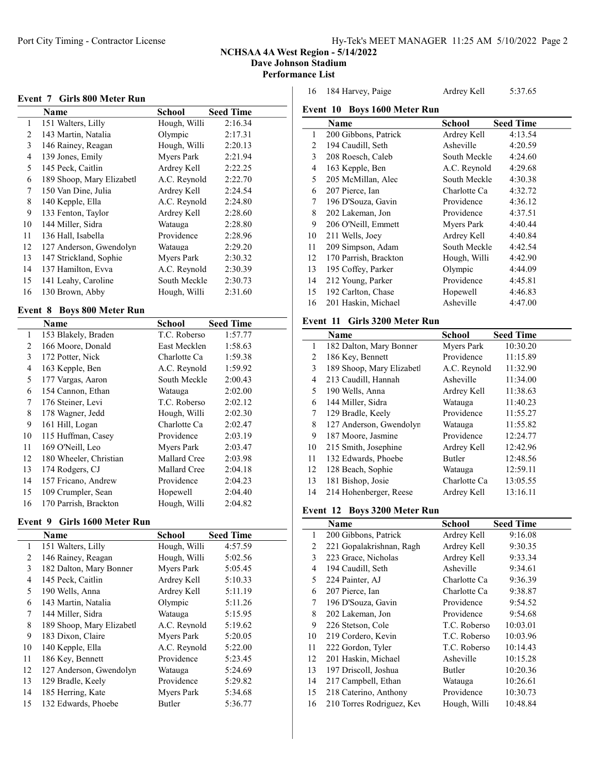#### NCHSAA 4A West Region - 5/14/2022

Dave Johnson Stadium

Performance List

| Event 7 Girls 800 Meter Run |  |  |  |  |  |
|-----------------------------|--|--|--|--|--|
|-----------------------------|--|--|--|--|--|

|    | Name                      | School       | <b>Seed Time</b> |
|----|---------------------------|--------------|------------------|
| 1  | 151 Walters, Lilly        | Hough, Willi | 2:16.34          |
| 2  | 143 Martin, Natalia       | Olympic      | 2:17.31          |
| 3  | 146 Rainey, Reagan        | Hough, Willi | 2:20.13          |
| 4  | 139 Jones, Emily          | Myers Park   | 2:21.94          |
| 5  | 145 Peck, Caitlin         | Ardrey Kell  | 2:22.25          |
| 6  | 189 Shoop, Mary Elizabetl | A.C. Revnold | 2:22.70          |
| 7  | 150 Van Dine, Julia       | Ardrey Kell  | 2:24.54          |
| 8  | 140 Kepple, Ella          | A.C. Reynold | 2:24.80          |
| 9  | 133 Fenton, Taylor        | Ardrey Kell  | 2:28.60          |
| 10 | 144 Miller, Sidra         | Watauga      | 2:28.80          |
| 11 | 136 Hall, Isabella        | Providence   | 2:28.96          |
| 12 | 127 Anderson, Gwendolyn   | Watauga      | 2:29.20          |
| 13 | 147 Strickland, Sophie    | Myers Park   | 2:30.32          |
| 14 | 137 Hamilton, Evva        | A.C. Reynold | 2:30.39          |
| 15 | 141 Leahy, Caroline       | South Meckle | 2:30.73          |
| 16 | 130 Brown, Abby           | Hough, Willi | 2:31.60          |

### Event 8 Boys 800 Meter Run

|    | Name                   | School       | <b>Seed Time</b> |
|----|------------------------|--------------|------------------|
| 1  | 153 Blakely, Braden    | T.C. Roberso | 1:57.77          |
| 2  | 166 Moore, Donald      | East Mecklen | 1:58.63          |
| 3  | 172 Potter, Nick       | Charlotte Ca | 1:59.38          |
| 4  | 163 Kepple, Ben        | A.C. Reynold | 1:59.92          |
| 5  | 177 Vargas, Aaron      | South Meckle | 2:00.43          |
| 6  | 154 Cannon, Ethan      | Watauga      | 2:02.00          |
| 7  | 176 Steiner, Levi      | T.C. Roberso | 2:02.12          |
| 8  | 178 Wagner, Jedd       | Hough, Willi | 2:02.30          |
| 9  | 161 Hill, Logan        | Charlotte Ca | 2:02.47          |
| 10 | 115 Huffman, Casey     | Providence   | 2:03.19          |
| 11 | 169 O'Neill, Leo       | Myers Park   | 2:03.47          |
| 12 | 180 Wheeler, Christian | Mallard Cree | 2:03.98          |
| 13 | 174 Rodgers, CJ        | Mallard Cree | 2:04.18          |
| 14 | 157 Fricano, Andrew    | Providence   | 2:04.23          |
| 15 | 109 Crumpler, Sean     | Hopewell     | 2:04.40          |
| 16 | 170 Parrish, Brackton  | Hough, Willi | 2:04.82          |

## Event 9 Girls 1600 Meter Run

|    | Name                      | School       | <b>Seed Time</b> |
|----|---------------------------|--------------|------------------|
| 1  | 151 Walters, Lilly        | Hough, Willi | 4:57.59          |
| 2  | 146 Rainey, Reagan        | Hough, Willi | 5:02.56          |
| 3  | 182 Dalton, Mary Bonner   | Myers Park   | 5:05.45          |
| 4  | 145 Peck, Caitlin         | Ardrey Kell  | 5:10.33          |
| 5  | 190 Wells, Anna           | Ardrey Kell  | 5:11.19          |
| 6  | 143 Martin, Natalia       | Olympic      | 5:11.26          |
| 7  | 144 Miller, Sidra         | Watauga      | 5:15.95          |
| 8  | 189 Shoop, Mary Elizabetl | A.C. Reynold | 5:19.62          |
| 9  | 183 Dixon, Claire         | Mvers Park   | 5:20.05          |
| 10 | 140 Kepple, Ella          | A.C. Reynold | 5:22.00          |
| 11 | 186 Key, Bennett          | Providence   | 5:23.45          |
| 12 | 127 Anderson, Gwendolyn   | Watauga      | 5:24.69          |
| 13 | 129 Bradle, Keely         | Providence   | 5:29.82          |
| 14 | 185 Herring, Kate         | Myers Park   | 5:34.68          |
| 15 | 132 Edwards, Phoebe       | Butler       | 5:36.77          |

| 16 | 184 Harvey, Paige | Ardrey Kell | 5:37.65 |
|----|-------------------|-------------|---------|
|    |                   |             |         |

## Event 10 Boys 1600 Meter Run **Name** School Seed Time<br>
200 Gibbons, Patrick Ardrey Kell 4:13.54 1 200 Gibbons, Patrick 2 194 Caudill, Seth Asheville 4:20.59 208 Roesch, Caleb South Meckle 4:24.60 163 Kepple, Ben A.C. Reynold 4:29.68 205 McMillan, Alec South Meckle 4:30.38 207 Pierce, Ian Charlotte Ca 4:32.72 196 D'Souza, Gavin Providence 4:36.12 202 Lakeman, Jon Providence 4:37.51 9 206 O'Neill, Emmett Myers Park 4:40.44 211 Wells, Joey Ardrey Kell 4:40.84 209 Simpson, Adam South Meckle 4:42.54 170 Parrish, Brackton Hough, Willi 4:42.90 195 Coffey, Parker Olympic 4:44.09 212 Young, Parker Providence 4:45.81 192 Carlton, Chase Hopewell 4:46.83 16 201 Haskin, Michael Asheville 4:47.00

### Event 11 Girls 3200 Meter Run

|    | <b>Name</b>               | School       | <b>Seed Time</b> |
|----|---------------------------|--------------|------------------|
| 1  | 182 Dalton, Mary Bonner   | Myers Park   | 10:30.20         |
| 2  | 186 Key, Bennett          | Providence   | 11:15.89         |
| 3  | 189 Shoop, Mary Elizabetl | A.C. Reynold | 11:32.90         |
| 4  | 213 Caudill, Hannah       | Asheville    | 11:34.00         |
| 5  | 190 Wells, Anna           | Ardrey Kell  | 11:38.63         |
| 6  | 144 Miller, Sidra         | Watauga      | 11:40.23         |
| 7  | 129 Bradle, Keely         | Providence   | 11:55.27         |
| 8  | 127 Anderson, Gwendolyn   | Watauga      | 11:55.82         |
| 9  | 187 Moore, Jasmine        | Providence   | 12:24.77         |
| 10 | 215 Smith, Josephine      | Ardrey Kell  | 12:42.96         |
| 11 | 132 Edwards, Phoebe       | Butler       | 12:48.56         |
| 12 | 128 Beach, Sophie         | Watauga      | 12:59.11         |
| 13 | 181 Bishop, Josie         | Charlotte Ca | 13:05.55         |
| 14 | 214 Hohenberger, Reese    | Ardrey Kell  | 13:16.11         |

#### Event 12 Boys 3200 Meter Run

|    | Name                      | <b>School</b> | <b>Seed Time</b> |
|----|---------------------------|---------------|------------------|
| 1  | 200 Gibbons, Patrick      | Ardrey Kell   | 9:16.08          |
| 2  | 221 Gopalakrishnan, Ragh  | Ardrey Kell   | 9:30.35          |
| 3  | 223 Grace, Nicholas       | Ardrey Kell   | 9:33.34          |
| 4  | 194 Caudill, Seth         | Asheville     | 9:34.61          |
| 5  | 224 Painter, AJ           | Charlotte Ca  | 9:36.39          |
| 6  | 207 Pierce, Ian           | Charlotte Ca  | 9:38.87          |
| 7  | 196 D'Souza, Gavin        | Providence    | 9:54.52          |
| 8  | 202 Lakeman, Jon          | Providence    | 9:54.68          |
| 9  | 226 Stetson, Cole         | T.C. Roberso  | 10:03.01         |
| 10 | 219 Cordero, Kevin        | T.C. Roberso  | 10:03.96         |
| 11 | 222 Gordon, Tyler         | T.C. Roberso  | 10:14.43         |
| 12 | 201 Haskin, Michael       | Asheville     | 10:15.28         |
| 13 | 197 Driscoll, Joshua      | <b>Butler</b> | 10:20.36         |
| 14 | 217 Campbell, Ethan       | Watauga       | 10:26.61         |
| 15 | 218 Caterino, Anthony     | Providence    | 10:30.73         |
| 16 | 210 Torres Rodriguez, Kev | Hough, Willi  | 10:48.84         |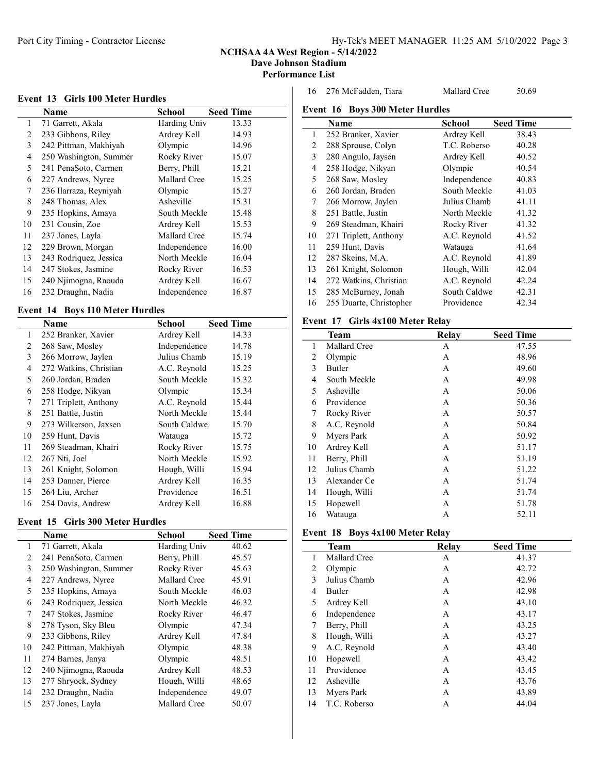#### NCHSAA 4A West Region - 5/14/2022

Dave Johnson Stadium

#### Performance List

#### Event 13 Girls 100 Meter Hurdles

|    | Name                   | School       | <b>Seed Time</b> |
|----|------------------------|--------------|------------------|
| 1  | 71 Garrett, Akala      | Harding Univ | 13.33            |
| 2  | 233 Gibbons, Riley     | Ardrey Kell  | 14.93            |
| 3  | 242 Pittman, Makhiyah  | Olympic      | 14.96            |
| 4  | 250 Washington, Summer | Rocky River  | 15.07            |
| 5  | 241 PenaSoto, Carmen   | Berry, Phill | 15.21            |
| 6  | 227 Andrews, Nyree     | Mallard Cree | 15.25            |
| 7  | 236 Ilarraza, Reyniyah | Olympic      | 15.27            |
| 8  | 248 Thomas, Alex       | Asheville    | 15.31            |
| 9  | 235 Hopkins, Amaya     | South Meckle | 15.48            |
| 10 | 231 Cousin, Zoe        | Ardrey Kell  | 15.53            |
| 11 | 237 Jones, Layla       | Mallard Cree | 15.74            |
| 12 | 229 Brown, Morgan      | Independence | 16.00            |
| 13 | 243 Rodriquez, Jessica | North Meckle | 16.04            |
| 14 | 247 Stokes, Jasmine    | Rocky River  | 16.53            |
| 15 | 240 Njimogna, Raouda   | Ardrey Kell  | 16.67            |
| 16 | 232 Draughn, Nadia     | Independence | 16.87            |

### Event 14 Boys 110 Meter Hurdles

|    | Name                   | School       | <b>Seed Time</b> |
|----|------------------------|--------------|------------------|
|    |                        |              |                  |
| 1  | 252 Branker, Xavier    | Ardrey Kell  | 14.33            |
| 2  | 268 Saw, Mosley        | Independence | 14.78            |
| 3  | 266 Morrow, Jaylen     | Julius Chamb | 15.19            |
| 4  | 272 Watkins, Christian | A.C. Reynold | 15.25            |
| 5  | 260 Jordan, Braden     | South Meckle | 15.32            |
| 6  | 258 Hodge, Nikyan      | Olympic      | 15.34            |
| 7  | 271 Triplett, Anthony  | A.C. Reynold | 15.44            |
| 8  | 251 Battle, Justin     | North Meckle | 15.44            |
| 9  | 273 Wilkerson, Jaxsen  | South Caldwe | 15.70            |
| 10 | 259 Hunt, Davis        | Watauga      | 15.72            |
| 11 | 269 Steadman, Khairi   | Rocky River  | 15.75            |
| 12 | 267 Nti, Joel          | North Meckle | 15.92            |
| 13 | 261 Knight, Solomon    | Hough, Willi | 15.94            |
| 14 | 253 Danner, Pierce     | Ardrey Kell  | 16.35            |
| 15 | 264 Liu, Archer        | Providence   | 16.51            |
| 16 | 254 Davis, Andrew      | Ardrey Kell  | 16.88            |

## Event 15 Girls 300 Meter Hurdles

|    | Name                   | School       | <b>Seed Time</b> |
|----|------------------------|--------------|------------------|
| 1  | 71 Garrett, Akala      | Harding Univ | 40.62            |
| 2  | 241 PenaSoto, Carmen   | Berry, Phill | 45.57            |
| 3  | 250 Washington, Summer | Rocky River  | 45.63            |
| 4  | 227 Andrews, Nyree     | Mallard Cree | 45.91            |
| 5  | 235 Hopkins, Amaya     | South Meckle | 46.03            |
| 6  | 243 Rodriquez, Jessica | North Meckle | 46.32            |
| 7  | 247 Stokes, Jasmine    | Rocky River  | 46.47            |
| 8  | 278 Tyson, Sky Bleu    | Olympic      | 47.34            |
| 9  | 233 Gibbons, Riley     | Ardrey Kell  | 47.84            |
| 10 | 242 Pittman, Makhiyah  | Olympic      | 48.38            |
| 11 | 274 Barnes, Janya      | Olympic      | 48.51            |
| 12 | 240 Njimogna, Raouda   | Ardrey Kell  | 48.53            |
| 13 | 277 Shryock, Sydney    | Hough, Willi | 48.65            |
| 14 | 232 Draughn, Nadia     | Independence | 49.07            |
| 15 | 237 Jones, Layla       | Mallard Cree | 50.07            |

276 McFadden, Tiara Mallard Cree 50.69

## Event 16 Boys 300 Meter Hurdles **Name** School Seed Time<br>252 Branker, Xavier Ardrey Kell 38.43 1 252 Branker, Xavier 288 Sprouse, Colyn T.C. Roberso 40.28 280 Angulo, Jaysen Ardrey Kell 40.52 258 Hodge, Nikyan Olympic 40.54 268 Saw, Mosley Independence 40.83 260 Jordan, Braden South Meckle 41.03 266 Morrow, Jaylen Julius Chamb 41.11 8 251 Battle, Justin North Meckle 41.32 9 269 Steadman, Khairi Rocky River 41.32 271 Triplett, Anthony A.C. Reynold 41.52 259 Hunt, Davis Watauga 41.64 12 287 Skeins, M.A. **A.C. Reynold** 41.89 261 Knight, Solomon Hough, Willi 42.04 272 Watkins, Christian A.C. Reynold 42.24 285 McBurney, Jonah South Caldwe 42.31 255 Duarte, Christopher Providence 42.34

## Event 17 Girls 4x100 Meter Relay

|    | <b>Team</b>         | Relay | <b>Seed Time</b> |
|----|---------------------|-------|------------------|
| 1  | <b>Mallard Cree</b> | А     | 47.55            |
| 2  | Olympic             | A     | 48.96            |
| 3  | <b>Butler</b>       | A     | 49.60            |
| 4  | South Meckle        | A     | 49.98            |
| 5  | Asheville           | A     | 50.06            |
| 6  | Providence          | A     | 50.36            |
| 7  | Rocky River         | А     | 50.57            |
| 8  | A.C. Reynold        | А     | 50.84            |
| 9  | Myers Park          | A     | 50.92            |
| 10 | Ardrey Kell         | A     | 51.17            |
| 11 | Berry, Phill        | A     | 51.19            |
| 12 | Julius Chamb        | A     | 51.22            |
| 13 | Alexander Ce        | A     | 51.74            |
| 14 | Hough, Willi        | A     | 51.74            |
| 15 | Hopewell            | A     | 51.78            |
| 16 | Watauga             | А     | 52.11            |

### Event 18 Boys 4x100 Meter Relay

|    | <b>Team</b>   | Relay | <b>Seed Time</b> |
|----|---------------|-------|------------------|
| 1  | Mallard Cree  | А     | 41.37            |
| 2  | Olympic       | A     | 42.72            |
| 3  | Julius Chamb  | A     | 42.96            |
| 4  | <b>Butler</b> | A     | 42.98            |
| 5  | Ardrey Kell   | A     | 43.10            |
| 6  | Independence  | A     | 43.17            |
| 7  | Berry, Phill  | A     | 43.25            |
| 8  | Hough, Willi  | А     | 43.27            |
| 9  | A.C. Reynold  | A     | 43.40            |
| 10 | Hopewell      | A     | 43.42            |
| 11 | Providence    | A     | 43.45            |
| 12 | Asheville     | A     | 43.76            |
| 13 | Myers Park    | А     | 43.89            |
| 14 | T.C. Roberso  | А     | 44.04            |
|    |               |       |                  |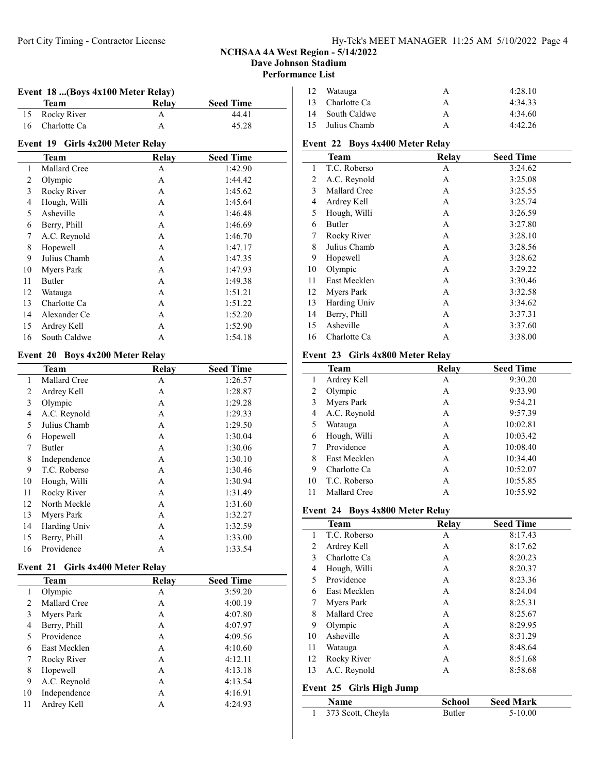## NCHSAA 4A West Region - 5/14/2022 Dave Johnson Stadium

Performance List

| Event 18 (Boys 4x100 Meter Relay) |                                           |              |                  |  |  |  |
|-----------------------------------|-------------------------------------------|--------------|------------------|--|--|--|
|                                   | Team                                      | <b>Relay</b> | <b>Seed Time</b> |  |  |  |
| 15                                | Rocky River                               | A            | 44.41            |  |  |  |
| 16                                | Charlotte Ca                              | A            | 45.28            |  |  |  |
| Event 19 Girls 4x200 Meter Relay  |                                           |              |                  |  |  |  |
|                                   | <b>Team</b>                               | <b>Relay</b> | <b>Seed Time</b> |  |  |  |
| $\mathbf{1}$                      | Mallard Cree                              | A            | 1:42.90          |  |  |  |
| 2                                 | Olympic                                   | A            | 1:44.42          |  |  |  |
| 3                                 | Rocky River                               | A            | 1:45.62          |  |  |  |
| 4                                 | Hough, Willi                              | A            | 1:45.64          |  |  |  |
| 5                                 | Asheville                                 | A            | 1:46.48          |  |  |  |
| 6                                 | Berry, Phill                              | A            | 1:46.69          |  |  |  |
| 7                                 | A.C. Reynold                              | A            | 1:46.70          |  |  |  |
| 8                                 | Hopewell                                  | A            | 1:47.17          |  |  |  |
| 9                                 | Julius Chamb                              | A            | 1:47.35          |  |  |  |
| 10                                | Myers Park                                | A            | 1:47.93          |  |  |  |
| 11                                | <b>Butler</b>                             | A            | 1:49.38          |  |  |  |
| 12                                | Watauga                                   | A            | 1:51.21          |  |  |  |
| 13                                | Charlotte Ca                              | A            | 1:51.22          |  |  |  |
| 14                                | Alexander Ce                              | A            | 1:52.20          |  |  |  |
| 15                                | Ardrey Kell                               | A            | 1:52.90          |  |  |  |
| 16                                | South Caldwe                              | A            | 1:54.18          |  |  |  |
|                                   | Event 20<br><b>Boys 4x200 Meter Relay</b> |              |                  |  |  |  |
|                                   | <b>Team</b>                               | <b>Relay</b> | <b>Seed Time</b> |  |  |  |
| 1                                 | Mallard Cree                              | A            | 1:26.57          |  |  |  |
| 2                                 | Ardrey Kell                               | A            | 1:28.87          |  |  |  |
| 3                                 | Olympic                                   | A            | 1:29.28          |  |  |  |
| $\overline{4}$                    | A.C. Reynold                              | A            | 1:29.33          |  |  |  |
| 5                                 | Julius Chamb                              | A            | 1:29.50          |  |  |  |
| 6                                 | Hopewell                                  | A            | 1:30.04          |  |  |  |
| 7                                 | <b>Butler</b>                             | A            | 1:30.06          |  |  |  |
| $\,$ $\,$                         | Independence                              | A            | 1:30.10          |  |  |  |
| 9                                 | T.C. Roberso                              | A            | 1:30.46          |  |  |  |
| 10                                | Hough, Willi                              | A            | 1:30.94          |  |  |  |
| 11                                | Rocky River                               | A            | 1:31.49          |  |  |  |
| 12                                | North Meckle                              | Α            | 1:31.60          |  |  |  |

## 12 Watauga A 4:28.10 13 Charlotte Ca A 4:34.33 14 South Caldwe A 4:34.60 Julius Chamb A 4:42.26

## Event 22 Boys 4x400 Meter Relay

|    | <b>Team</b>  | Relay | <b>Seed Time</b> |
|----|--------------|-------|------------------|
| 1  | T.C. Roberso | А     | 3:24.62          |
| 2  | A.C. Reynold | A     | 3:25.08          |
| 3  | Mallard Cree | A     | 3:25.55          |
| 4  | Ardrey Kell  | A     | 3:25.74          |
| 5  | Hough, Willi | A     | 3:26.59          |
| 6  | Butler       | A     | 3:27.80          |
| 7  | Rocky River  | A     | 3:28.10          |
| 8  | Julius Chamb | A     | 3:28.56          |
| 9  | Hopewell     | A     | 3:28.62          |
| 10 | Olympic      | A     | 3:29.22          |
| 11 | East Mecklen | A     | 3:30.46          |
| 12 | Myers Park   | A     | 3:32.58          |
| 13 | Harding Univ | A     | 3:34.62          |
| 14 | Berry, Phill | A     | 3:37.31          |
| 15 | Asheville    | A     | 3:37.60          |
| 16 | Charlotte Ca | A     | 3:38.00          |

## Event 23 Girls 4x800 Meter Relay

|              | <b>Team</b>       | Relay | <b>Seed Time</b> |  |
|--------------|-------------------|-------|------------------|--|
| $\mathbf{1}$ | Ardrey Kell       | A     | 9:30.20          |  |
| 2            | Olympic           | А     | 9:33.90          |  |
| 3            | <b>Myers Park</b> | А     | 9:54.21          |  |
| 4            | A.C. Reynold      | А     | 9:57.39          |  |
| 5            | Watauga           | А     | 10:02.81         |  |
| 6            | Hough, Willi      | А     | 10:03.42         |  |
| 7            | Providence        | A     | 10:08.40         |  |
| 8            | East Mecklen      | А     | 10:34.40         |  |
| 9            | Charlotte Ca      | A     | 10:52.07         |  |
| 10           | T.C. Roberso      | A     | 10:55.85         |  |
| 11           | Mallard Cree      | А     | 10:55.92         |  |
|              |                   |       |                  |  |

## Event 24 Boys 4x800 Meter Relay

|    | <b>Team</b>  | Relay | <b>Seed Time</b> |
|----|--------------|-------|------------------|
| 1  | T.C. Roberso | A     | 8:17.43          |
| 2  | Ardrey Kell  | А     | 8:17.62          |
| 3  | Charlotte Ca | A     | 8:20.23          |
| 4  | Hough, Willi | А     | 8:20.37          |
| 5  | Providence   | A     | 8:23.36          |
| 6  | East Mecklen | A     | 8:24.04          |
| 7  | Myers Park   | A     | 8:25.31          |
| 8  | Mallard Cree | A     | 8:25.67          |
| 9  | Olympic      | A     | 8:29.95          |
| 10 | Asheville    | A     | 8:31.29          |
| 11 | Watauga      | A     | 8:48.64          |
| 12 | Rocky River  | A     | 8:51.68          |
| 13 | A.C. Reynold | A     | 8:58.68          |

# Event 25 Girls High Jump

 $\overline{a}$ 

| <b>Name</b>       | <b>School</b> | <b>Seed Mark</b> |  |
|-------------------|---------------|------------------|--|
| 373 Scott, Cheyla | <b>Butler</b> | $5-10.00$        |  |

|  |  |  |  | Event 21 Girls 4x400 Meter Relay |  |
|--|--|--|--|----------------------------------|--|
|--|--|--|--|----------------------------------|--|

|    |              | v     |                  |  |
|----|--------------|-------|------------------|--|
|    | <b>Team</b>  | Relay | <b>Seed Time</b> |  |
| 1  | Olympic      | A     | 3:59.20          |  |
| 2  | Mallard Cree | A     | 4:00.19          |  |
| 3  | Myers Park   | A     | 4:07.80          |  |
| 4  | Berry, Phill | A     | 4:07.97          |  |
| 5  | Providence   | A     | 4:09.56          |  |
| 6  | East Mecklen | A     | 4:10.60          |  |
| 7  | Rocky River  | A     | 4:12.11          |  |
| 8  | Hopewell     | A     | 4:13.18          |  |
| 9  | A.C. Reynold | A     | 4:13.54          |  |
| 10 | Independence | A     | 4:16.91          |  |
| 11 | Ardrey Kell  | Α     | 4:24.93          |  |
|    |              |       |                  |  |

13 Myers Park A 1:32.27 Harding Univ A 1:32.59 15 Berry, Phill A 1:33.00 Providence A 1:33.54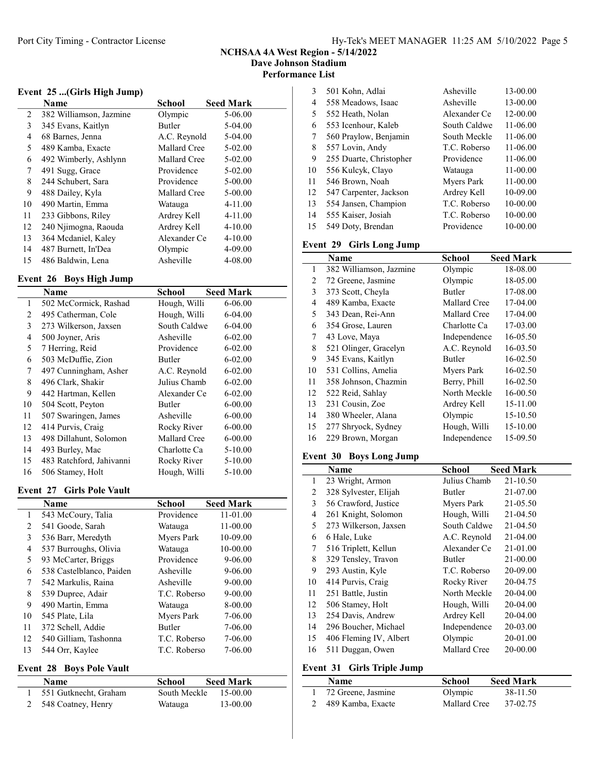NCHSAA 4A West Region - 5/14/2022 Dave Johnson Stadium

Performance List

## Event 25 ...(Girls High Jump)

|    | Name                    | School       | <b>Seed Mark</b> |
|----|-------------------------|--------------|------------------|
| 2  | 382 Williamson, Jazmine | Olympic      | 5-06.00          |
| 3  | 345 Evans, Kaitlyn      | Butler       | 5-04.00          |
| 4  | 68 Barnes, Jenna        | A.C. Reynold | 5-04.00          |
| 5  | 489 Kamba, Exacte       | Mallard Cree | 5-02.00          |
| 6  | 492 Wimberly, Ashlynn   | Mallard Cree | 5-02.00          |
| 7  | 491 Sugg, Grace         | Providence   | 5-02.00          |
| 8  | 244 Schubert, Sara      | Providence   | $5 - 00.00$      |
| 9  | 488 Dailey, Kyla        | Mallard Cree | $5 - 00.00$      |
| 10 | 490 Martin, Emma        | Watauga      | $4 - 11.00$      |
| 11 | 233 Gibbons, Riley      | Ardrey Kell  | $4 - 11.00$      |
| 12 | 240 Njimogna, Raouda    | Ardrey Kell  | $4 - 10.00$      |
| 13 | 364 Mcdaniel, Kaley     | Alexander Ce | $4 - 10.00$      |
| 14 | 487 Burnett, In'Dea     | Olympic      | 4-09.00          |
| 15 | 486 Baldwin, Lena       | Asheville    | 4-08.00          |

## Event 26 Boys High Jump

|    | Name                     | School        | <b>Seed Mark</b> |
|----|--------------------------|---------------|------------------|
| 1  | 502 McCormick, Rashad    | Hough, Willi  | 6-06.00          |
| 2  | 495 Catherman, Cole      | Hough, Willi  | 6-04.00          |
| 3  | 273 Wilkerson, Jaxsen    | South Caldwe  | 6-04.00          |
| 4  | 500 Joyner, Aris         | Asheville     | $6 - 02.00$      |
| 5  | 7 Herring, Reid          | Providence    | $6 - 02.00$      |
| 6  | 503 McDuffie, Zion       | Butler        | $6 - 02.00$      |
| 7  | 497 Cunningham, Asher    | A.C. Reynold  | $6 - 02.00$      |
| 8  | 496 Clark, Shakir        | Julius Chamb  | $6 - 02.00$      |
| 9  | 442 Hartman, Kellen      | Alexander Ce  | $6 - 02.00$      |
| 10 | 504 Scott, Peyton        | <b>Butler</b> | 6-00.00          |
| 11 | 507 Swaringen, James     | Asheville     | 6-00.00          |
| 12 | 414 Purvis, Craig        | Rocky River   | $6 - 00.00$      |
| 13 | 498 Dillahunt, Solomon   | Mallard Cree  | $6 - 00.00$      |
| 14 | 493 Burley, Mac          | Charlotte Ca  | $5-10.00$        |
| 15 | 483 Ratchford, Jahivanni | Rocky River   | 5-10.00          |
| 16 | 506 Stamey, Holt         | Hough, Willi  | 5-10.00          |

### Event 27 Girls Pole Vault

|    | Name                     | School        | <b>Seed Mark</b> |
|----|--------------------------|---------------|------------------|
| 1  | 543 McCoury, Talia       | Providence    | 11-01.00         |
| 2  | 541 Goode, Sarah         | Watauga       | 11-00.00         |
| 3  | 536 Barr, Meredyth       | Mvers Park    | 10-09.00         |
| 4  | 537 Burroughs, Olivia    | Watauga       | 10-00.00         |
| 5  | 93 McCarter, Briggs      | Providence    | 9-06.00          |
| 6  | 538 Castelblanco, Paiden | Asheville     | 9-06.00          |
| 7  | 542 Markulis, Raina      | Asheville     | $9 - 00.00$      |
| 8  | 539 Dupree, Adair        | T.C. Roberso  | $9 - 00.00$      |
| 9  | 490 Martin, Emma         | Watauga       | 8-00.00          |
| 10 | 545 Plate, Lila          | Myers Park    | 7-06.00          |
| 11 | 372 Schell, Addie        | <b>Butler</b> | 7-06.00          |
| 12 | 540 Gilliam, Tashonna    | T.C. Roberso  | 7-06.00          |
| 13 | 544 Orr, Kaylee          | T.C. Roberso  | 7-06.00          |

### Event 28 Boys Pole Vault

| $-$ , $\sqrt{2}$ , $-$ , $\sqrt{2}$ , $\sqrt{2}$ , $\sqrt{2}$ , $\sqrt{2}$ |               |                  |  |
|----------------------------------------------------------------------------|---------------|------------------|--|
| <b>Name</b>                                                                | <b>School</b> | <b>Seed Mark</b> |  |
| 551 Gutknecht, Graham                                                      | South Meckle  | 15-00.00         |  |
| 2 548 Coatney, Henry                                                       | Watauga       | 13-00.00         |  |

| 3  | 501 Kohn, Adlai         | Asheville    | 13-00.00 |
|----|-------------------------|--------------|----------|
| 4  | 558 Meadows, Isaac      | Asheville    | 13-00.00 |
| 5  | 552 Heath, Nolan        | Alexander Ce | 12-00.00 |
| 6  | 553 Icenhour, Kaleb     | South Caldwe | 11-06.00 |
| 7  | 560 Praylow, Benjamin   | South Meckle | 11-06.00 |
| 8  | 557 Lovin, Andy         | T.C. Roberso | 11-06.00 |
| 9  | 255 Duarte, Christopher | Providence   | 11-06.00 |
| 10 | 556 Kulcyk, Clayo       | Watauga      | 11-00.00 |
| 11 | 546 Brown, Noah         | Mvers Park   | 11-00.00 |
| 12 | 547 Carpenter, Jackson  | Ardrey Kell  | 10-09.00 |
| 13 | 554 Jansen, Champion    | T.C. Roberso | 10-00.00 |
| 14 | 555 Kaiser, Josiah      | T.C. Roberso | 10-00.00 |
| 15 | 549 Doty, Brendan       | Providence   | 10-00.00 |
|    |                         |              |          |

### Event 29 Girls Long Jump

|    | Name                    | <b>School</b> | <b>Seed Mark</b> |
|----|-------------------------|---------------|------------------|
| 1  | 382 Williamson, Jazmine | Olympic       | 18-08.00         |
| 2  | 72 Greene, Jasmine      | Olympic       | 18-05.00         |
| 3  | 373 Scott, Cheyla       | <b>Butler</b> | 17-08.00         |
| 4  | 489 Kamba, Exacte       | Mallard Cree  | 17-04.00         |
| 5  | 343 Dean, Rei-Ann       | Mallard Cree  | 17-04.00         |
| 6  | 354 Grose, Lauren       | Charlotte Ca  | 17-03.00         |
| 7  | 43 Love, Maya           | Independence  | 16-05.50         |
| 8  | 521 Olinger, Gracelyn   | A.C. Reynold  | 16-03.50         |
| 9  | 345 Evans, Kaitlyn      | <b>Butler</b> | 16-02.50         |
| 10 | 531 Collins, Amelia     | Myers Park    | 16-02.50         |
| 11 | 358 Johnson, Chazmin    | Berry, Phill  | 16-02.50         |
| 12 | 522 Reid, Sahlay        | North Meckle  | 16-00.50         |
| 13 | 231 Cousin, Zoe         | Ardrey Kell   | 15-11.00         |
| 14 | 380 Wheeler, Alana      | Olympic       | 15-10.50         |
| 15 | 277 Shryock, Sydney     | Hough, Willi  | 15-10.00         |
| 16 | 229 Brown, Morgan       | Independence  | 15-09.50         |

## Event 30 Boys Long Jump

|    | Name                   | School        | <b>Seed Mark</b> |
|----|------------------------|---------------|------------------|
| 1  | 23 Wright, Armon       | Julius Chamb  | 21-10.50         |
| 2  | 328 Sylvester, Elijah  | Butler        | 21-07.00         |
| 3  | 56 Crawford, Justice   | Myers Park    | 21-05.50         |
| 4  | 261 Knight, Solomon    | Hough, Willi  | 21-04.50         |
| 5  | 273 Wilkerson, Jaxsen  | South Caldwe  | 21-04.50         |
| 6  | 6 Hale, Luke           | A.C. Reynold  | 21-04.00         |
| 7  | 516 Triplett, Kellun   | Alexander Ce  | 21-01.00         |
| 8  | 329 Tensley, Travon    | <b>Butler</b> | 21-00.00         |
| 9  | 293 Austin, Kyle       | T.C. Roberso  | 20-09.00         |
| 10 | 414 Purvis, Craig      | Rocky River   | 20-04.75         |
| 11 | 251 Battle, Justin     | North Meckle  | 20-04.00         |
| 12 | 506 Stamey, Holt       | Hough, Willi  | 20-04.00         |
| 13 | 254 Davis, Andrew      | Ardrey Kell   | 20-04.00         |
| 14 | 296 Boucher, Michael   | Independence  | 20-03.00         |
| 15 | 406 Fleming IV, Albert | Olympic       | 20-01.00         |
| 16 | 511 Duggan, Owen       | Mallard Cree  | 20-00.00         |

## Event 31 Girls Triple Jump

| <b>Name</b>          | School       | <b>Seed Mark</b> |
|----------------------|--------------|------------------|
| 1 72 Greene, Jasmine | Olympic      | 38-11.50         |
| 2 489 Kamba, Exacte  | Mallard Cree | 37-02.75         |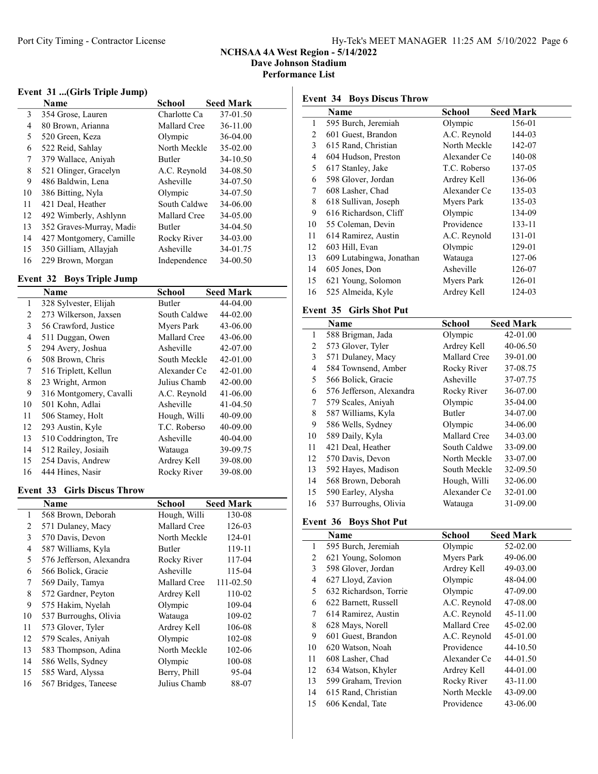## NCHSAA 4A West Region - 5/14/2022 Dave Johnson Stadium

Performance List

## Event 31 ...(Girls Triple Jump)

|    | Name                     | School        | <b>Seed Mark</b> |
|----|--------------------------|---------------|------------------|
| 3  | 354 Grose, Lauren        | Charlotte Ca  | 37-01.50         |
| 4  | 80 Brown, Arianna        | Mallard Cree  | 36-11.00         |
| 5  | 520 Green, Keza          | Olympic       | 36-04.00         |
| 6  | 522 Reid, Sahlay         | North Meckle  | 35-02.00         |
| 7  | 379 Wallace, Aniyah      | <b>Butler</b> | 34-10.50         |
| 8  | 521 Olinger, Gracelyn    | A.C. Revnold  | 34-08.50         |
| 9  | 486 Baldwin, Lena        | Asheville     | 34-07.50         |
| 10 | 386 Bitting, Nyla        | Olympic       | 34-07.50         |
| 11 | 421 Deal, Heather        | South Caldwe  | 34-06.00         |
| 12 | 492 Wimberly, Ashlynn    | Mallard Cree  | 34-05.00         |
| 13 | 352 Graves-Murray, Madis | <b>Butler</b> | 34-04.50         |
| 14 | 427 Montgomery, Camille  | Rocky River   | 34-03.00         |
| 15 | 350 Gilliam, Allayjah    | Asheville     | 34-01.75         |
| 16 | 229 Brown, Morgan        | Independence  | 34-00.50         |

## Event 32 Boys Triple Jump

|    | Name                    | <b>School</b> | <b>Seed Mark</b> |
|----|-------------------------|---------------|------------------|
| 1  | 328 Sylvester, Elijah   | Butler        | 44-04.00         |
| 2  | 273 Wilkerson, Jaxsen   | South Caldwe  | 44-02.00         |
| 3  | 56 Crawford, Justice    | Mvers Park    | 43-06.00         |
| 4  | 511 Duggan, Owen        | Mallard Cree  | 43-06.00         |
| 5  | 294 Avery, Joshua       | Asheville     | 42-07.00         |
| 6  | 508 Brown, Chris        | South Meckle  | 42-01.00         |
| 7  | 516 Triplett, Kellun    | Alexander Ce  | 42-01.00         |
| 8  | 23 Wright, Armon        | Julius Chamb  | 42-00.00         |
| 9  | 316 Montgomery, Cavalli | A.C. Reynold  | 41-06.00         |
| 10 | 501 Kohn, Adlai         | Asheville     | 41-04.50         |
| 11 | 506 Stamey, Holt        | Hough, Willi  | 40-09.00         |
| 12 | 293 Austin, Kyle        | T.C. Roberso  | 40-09.00         |
| 13 | 510 Coddrington, Tre    | Asheville     | 40-04.00         |
| 14 | 512 Railey, Josiaih     | Watauga       | 39-09.75         |
| 15 | 254 Davis, Andrew       | Ardrey Kell   | 39-08.00         |
| 16 | 444 Hines, Nasir        | Rocky River   | 39-08.00         |

### Event 33 Girls Discus Throw

|    | Name                     | School        | <b>Seed Mark</b> |
|----|--------------------------|---------------|------------------|
| 1  | 568 Brown, Deborah       | Hough, Willi  | 130-08           |
| 2  | 571 Dulaney, Macy        | Mallard Cree  | 126-03           |
| 3  | 570 Davis, Devon         | North Meckle  | 124-01           |
| 4  | 587 Williams, Kyla       | <b>Butler</b> | 119-11           |
| 5  | 576 Jefferson, Alexandra | Rocky River   | 117-04           |
| 6  | 566 Bolick, Gracie       | Asheville     | 115-04           |
| 7  | 569 Daily, Tamya         | Mallard Cree  | 111-02.50        |
| 8  | 572 Gardner, Peyton      | Ardrey Kell   | 110-02           |
| 9  | 575 Hakim, Nyelah        | Olympic       | 109-04           |
| 10 | 537 Burroughs, Olivia    | Watauga       | 109-02           |
| 11 | 573 Glover, Tyler        | Ardrey Kell   | 106-08           |
| 12 | 579 Scales, Aniyah       | Olympic       | 102-08           |
| 13 | 583 Thompson, Adina      | North Meckle  | 102-06           |
| 14 | 586 Wells, Sydney        | Olympic       | 100-08           |
| 15 | 585 Ward, Alyssa         | Berry, Phill  | 95-04            |
| 16 | 567 Bridges, Taneese     | Julius Chamb  | 88-07            |

## Event 34 Boys Discus Throw

|    | Name                     | <b>School</b> | <b>Seed Mark</b> |
|----|--------------------------|---------------|------------------|
| 1  | 595 Burch, Jeremiah      | Olympic       | 156-01           |
| 2  | 601 Guest, Brandon       | A.C. Reynold  | 144-03           |
| 3  | 615 Rand, Christian      | North Meckle  | 142-07           |
| 4  | 604 Hudson, Preston      | Alexander Ce  | 140-08           |
| 5  | 617 Stanley, Jake        | T.C. Roberso  | 137-05           |
| 6  | 598 Glover, Jordan       | Ardrey Kell   | 136-06           |
| 7  | 608 Lasher, Chad         | Alexander Ce  | 135-03           |
| 8  | 618 Sullivan, Joseph     | Myers Park    | 135-03           |
| 9  | 616 Richardson, Cliff    | Olympic       | 134-09           |
| 10 | 55 Coleman, Devin        | Providence    | 133-11           |
| 11 | 614 Ramirez, Austin      | A.C. Reynold  | 131-01           |
| 12 | 603 Hill, Evan           | Olympic       | 129-01           |
| 13 | 609 Lutabingwa, Jonathan | Watauga       | 127-06           |
| 14 | 605 Jones, Don           | Asheville     | 126-07           |
| 15 | 621 Young, Solomon       | Myers Park    | 126-01           |
| 16 | 525 Almeida, Kyle        | Ardrey Kell   | 124-03           |

## Event 35 Girls Shot Put

|    | Name                     | School        | <b>Seed Mark</b> |
|----|--------------------------|---------------|------------------|
| 1  | 588 Brigman, Jada        | Olympic       | 42-01.00         |
| 2  | 573 Glover, Tyler        | Ardrey Kell   | 40-06.50         |
| 3  | 571 Dulaney, Macy        | Mallard Cree  | 39-01.00         |
| 4  | 584 Townsend, Amber      | Rocky River   | 37-08.75         |
| 5  | 566 Bolick, Gracie       | Asheville     | 37-07.75         |
| 6  | 576 Jefferson, Alexandra | Rocky River   | 36-07.00         |
| 7  | 579 Scales, Aniyah       | Olympic       | 35-04.00         |
| 8  | 587 Williams, Kyla       | <b>Butler</b> | 34-07.00         |
| 9  | 586 Wells, Sydney        | Olympic       | 34-06.00         |
| 10 | 589 Daily, Kyla          | Mallard Cree  | 34-03.00         |
| 11 | 421 Deal, Heather        | South Caldwe  | 33-09.00         |
| 12 | 570 Davis, Devon         | North Meckle  | 33-07.00         |
| 13 | 592 Hayes, Madison       | South Meckle  | 32-09.50         |
| 14 | 568 Brown, Deborah       | Hough, Willi  | 32-06.00         |
| 15 | 590 Earley, Alysha       | Alexander Ce  | 32-01.00         |
| 16 | 537 Burroughs, Olivia    | Watauga       | 31-09.00         |

## Event 36 Boys Shot Put

|    | Name                   | School       | <b>Seed Mark</b> |
|----|------------------------|--------------|------------------|
| 1  | 595 Burch, Jeremiah    | Olympic      | 52-02.00         |
| 2  | 621 Young, Solomon     | Myers Park   | 49-06.00         |
| 3  | 598 Glover, Jordan     | Ardrey Kell  | 49-03.00         |
| 4  | 627 Lloyd, Zavion      | Olympic      | 48-04.00         |
| 5  | 632 Richardson, Torrie | Olympic      | 47-09.00         |
| 6  | 622 Barnett, Russell   | A.C. Reynold | 47-08.00         |
| 7  | 614 Ramirez, Austin    | A.C. Reynold | 45-11.00         |
| 8  | 628 Mays, Norell       | Mallard Cree | 45-02.00         |
| 9  | 601 Guest, Brandon     | A.C. Reynold | 45-01.00         |
| 10 | 620 Watson, Noah       | Providence   | 44-10.50         |
| 11 | 608 Lasher, Chad       | Alexander Ce | 44-01.50         |
| 12 | 634 Watson, Khyler     | Ardrey Kell  | 44-01.00         |
| 13 | 599 Graham, Trevion    | Rocky River  | 43-11.00         |
| 14 | 615 Rand, Christian    | North Meckle | 43-09.00         |
| 15 | 606 Kendal, Tate       | Providence   | 43-06.00         |